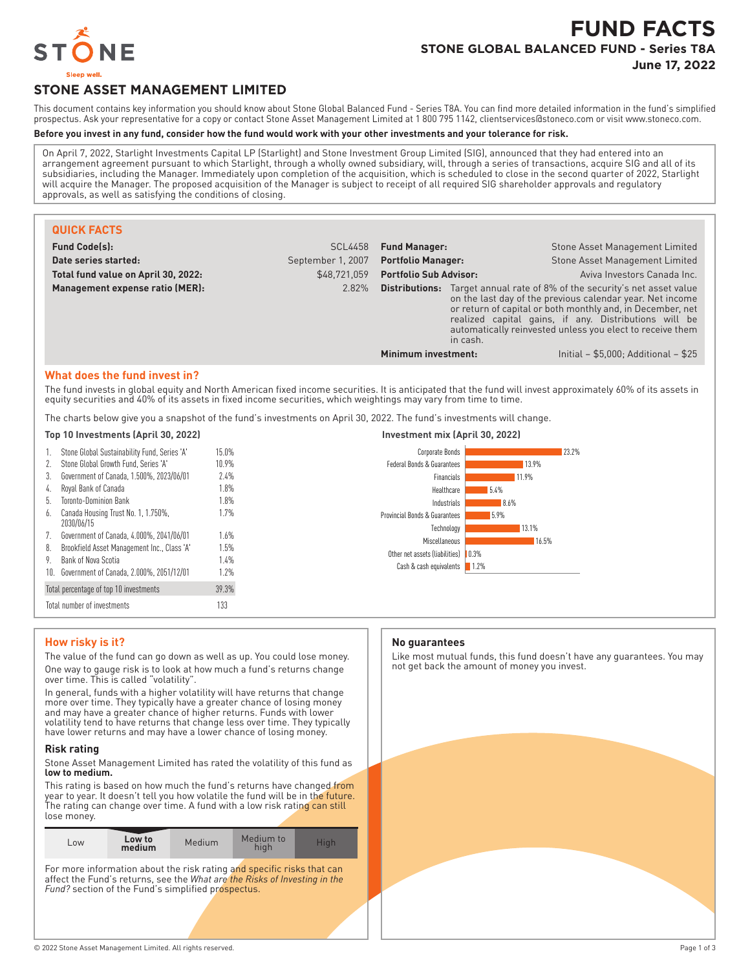

# **FUND FACTS STONE GLOBAL BALANCED FUND - Series T8A**

**June 17, 2022**

# **STONE ASSET MANAGEMENT LIMITED**

This document contains key information you should know about Stone Global Balanced Fund - Series T8A. You can find more detailed information in the fund's simplified prospectus. Ask your representative for a copy or contact Stone Asset Management Limited at 1 800 795 1142, clientservices@stoneco.com or visit www.stoneco.com.

### **Before you invest in any fund, consider how the fund would work with your other investments and your tolerance for risk.**

On April 7, 2022, Starlight Investments Capital LP (Starlight) and Stone Investment Group Limited (SIG), announced that they had entered into an arrangement agreement pursuant to which Starlight, through a wholly owned subsidiary, will, through a series of transactions, acquire SIG and all of its subsidiaries, including the Manager. Immediately upon completion of the acquisition, which is scheduled to close in the second quarter of 2022, Starlight will acquire the Manager. The proposed acquisition of the Manager is subject to receipt of all required SIG shareholder approvals and regulatory approvals, as well as satisfying the conditions of closing.

| <b>QUICK FACTS</b>                  |                   |                               |          |                                                                                                                                                                                                                                                                                                             |
|-------------------------------------|-------------------|-------------------------------|----------|-------------------------------------------------------------------------------------------------------------------------------------------------------------------------------------------------------------------------------------------------------------------------------------------------------------|
| <b>Fund Code(s):</b>                | <b>SCL4458</b>    | <b>Fund Manager:</b>          |          | Stone Asset Management Limited                                                                                                                                                                                                                                                                              |
| Date series started:                | September 1, 2007 | <b>Portfolio Manager:</b>     |          | Stone Asset Management Limited                                                                                                                                                                                                                                                                              |
| Total fund value on April 30, 2022: | \$48.721.059      | <b>Portfolio Sub Advisor:</b> |          | Aviva Investors Canada Inc.                                                                                                                                                                                                                                                                                 |
| Management expense ratio (MER):     | 2.82%             | Distributions:                | in cash. | Target annual rate of 8% of the security's net asset value<br>on the last day of the previous calendar year. Net income<br>or return of capital or both monthly and, in December, net<br>realized capital gains, if any. Distributions will be<br>automatically reinvested unless you elect to receive them |
|                                     |                   | Minimum investment:           |          | Initial $-$ \$5,000; Additional $-$ \$25                                                                                                                                                                                                                                                                    |

#### **What does the fund invest in?**

The fund invests in global equity and North American fixed income securities. It is anticipated that the fund will invest approximately 60% of its assets in equity securities and 40% of its assets in fixed income securities, which weightings may vary from time to time.

The charts below give you a snapshot of the fund's investments on April 30, 2022. The fund's investments will change.

#### **Top 10 Investments (April 30, 2022) Investment mix (April 30, 2022)** Stone Global Sustainability Fund, Series 'A' 15.0% 2. Stone Global Growth Fund, Series 'A' 10.9% 3. Government of Canada, 1.500%, 2023/06/01 2.4% 4. Royal Bank of Canada 1.8% 5. Toronto-Dominion Bank 1.8% 6. Canada Housing Trust No. 1, 1.750%, 2030/06/15 1.7% 7. Government of Canada, 4.000%, 2041/06/01 1.6% 8. Brookfield Asset Management Inc., Class 'A' 1.5% 9. Bank of Nova Scotia 1.4% 10. Government of Canada, 2.000%, 2051/12/01 1.2% Total percentage of top 10 investments 39.3% Total number of investments 133 23.2% 13.9% 11.9% 5.4% 8.6% 5.9% 13.1% 16.5%  $10.3%$ 1.2% Corporate Bonds Federal Bonds & Guarantees Financials Healthcare Industrials Provincial Bonds & Guarantees Technology **Miscellaneous** Other net assets (liabilities) Cash & cash equivalents

#### **How risky is it?**

The value of the fund can go down as well as up. You could lose money. One way to gauge risk is to look at how much a fund's returns change over time. This is called "volatility".

In general, funds with a higher volatility will have returns that change more over time. They typically have a greater chance of losing money and may have a greater chance of higher returns. Funds with lower volatility tend to have returns that change less over time. They typically have lower returns and may have a lower chance of losing money.

#### **Risk rating**

Stone Asset Management Limited has rated the volatility of this fund as **low to medium.**

This rating is based on how much the fund's returns have changed from year to year. It doesn't tell you how volatile the fund will be in the future. The rating can change over time. A fund with a low risk rating can still lose money.

| L <sub>OW</sub> | Low to<br>medium | Medium | Medium to<br>hiah | Hiah |
|-----------------|------------------|--------|-------------------|------|
|-----------------|------------------|--------|-------------------|------|

For more information about the risk rating and specific risks that can affect the Fund's returns, see the *What are the Risks of Investing in the Fund?* section of the Fund's simplified prospectus.

#### **No guarantees**

Like most mutual funds, this fund doesn't have any guarantees. You may not get back the amount of money you invest.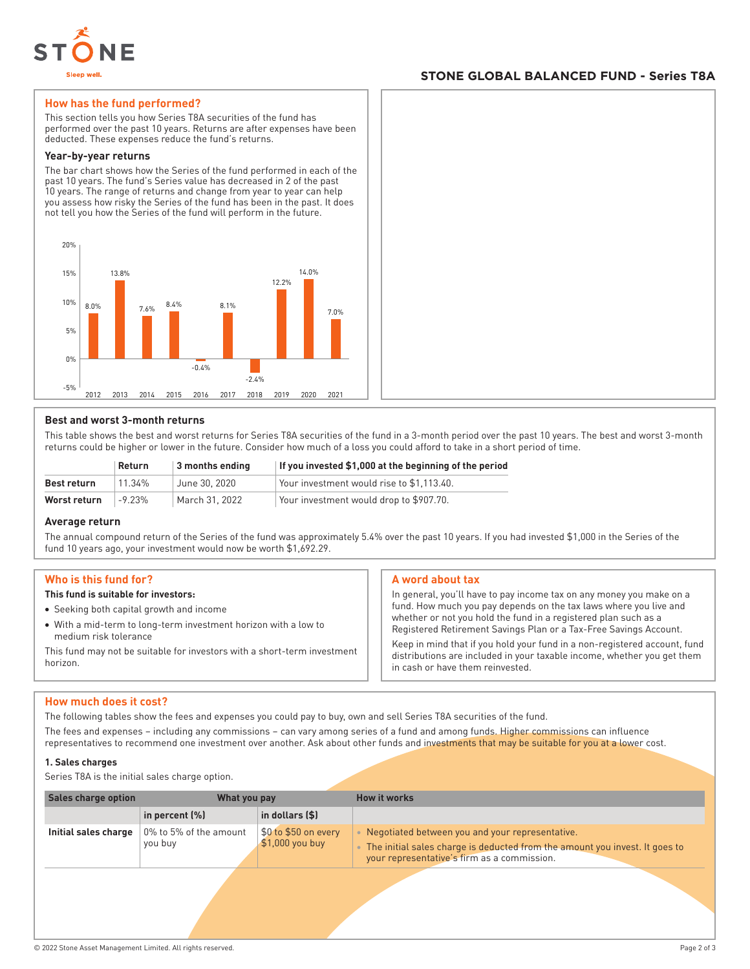

### **STONE GLOBAL BALANCED FUND - Series T8A**

#### **How has the fund performed?**

This section tells you how Series T8A securities of the fund has performed over the past 10 years. Returns are after expenses have been deducted. These expenses reduce the fund's returns.

#### **Year-by-year returns**

The bar chart shows how the Series of the fund performed in each of the past 10 years. The fund's Series value has decreased in 2 of the past 10 years. The range of returns and change from year to year can help you assess how risky the Series of the fund has been in the past. It does not tell you how the Series of the fund will perform in the future.



#### **Best and worst 3-month returns**

This table shows the best and worst returns for Series T8A securities of the fund in a 3-month period over the past 10 years. The best and worst 3-month returns could be higher or lower in the future. Consider how much of a loss you could afford to take in a short period of time.

|              | Return    | $\vert$ 3 months ending | If you invested \$1,000 at the beginning of the period |
|--------------|-----------|-------------------------|--------------------------------------------------------|
| Best return  | $11.34\%$ | June 30, 2020           | Your investment would rise to \$1.113.40.              |
| Worst return | $-9.23%$  | March 31, 2022          | Your investment would drop to \$907.70.                |

#### **Average return**

The annual compound return of the Series of the fund was approximately 5.4% over the past 10 years. If you had invested \$1,000 in the Series of the fund 10 years ago, your investment would now be worth \$1,692.29.

#### **Who is this fund for?**

#### **This fund is suitable for investors:**

- Seeking both capital growth and income
- With a mid-term to long-term investment horizon with a low to medium risk tolerance

This fund may not be suitable for investors with a short-term investment horizon.

#### **A word about tax**

In general, you'll have to pay income tax on any money you make on a fund. How much you pay depends on the tax laws where you live and whether or not you hold the fund in a registered plan such as a Registered Retirement Savings Plan or a Tax-Free Savings Account.

Keep in mind that if you hold your fund in a non-registered account, fund distributions are included in your taxable income, whether you get them in cash or have them reinvested.

#### **How much does it cost?**

The following tables show the fees and expenses you could pay to buy, own and sell Series T8A securities of the fund.

The fees and expenses – including any commissions – can vary among series of a fund and among funds. Higher commissions can influence representatives to recommend one investment over another. Ask about other funds and investments that may be suitable for you at a lower cost.

#### **1. Sales charges**

Series T8A is the initial sales charge option.

| <b>Sales charge option</b> | What you pay                      |                                          | <b>How it works</b>                                                                                                                                                           |
|----------------------------|-----------------------------------|------------------------------------------|-------------------------------------------------------------------------------------------------------------------------------------------------------------------------------|
|                            | in percent $(\%)$                 | in dollars $($ \$)                       |                                                                                                                                                                               |
| Initial sales charge       | 0% to 5% of the amount<br>you buy | \$0 to \$50 on every<br>$$1,000$ you buy | Negotiated between you and your representative.<br>The initial sales charge is deducted from the amount you invest. It goes to<br>your representative's firm as a commission. |
|                            |                                   |                                          |                                                                                                                                                                               |